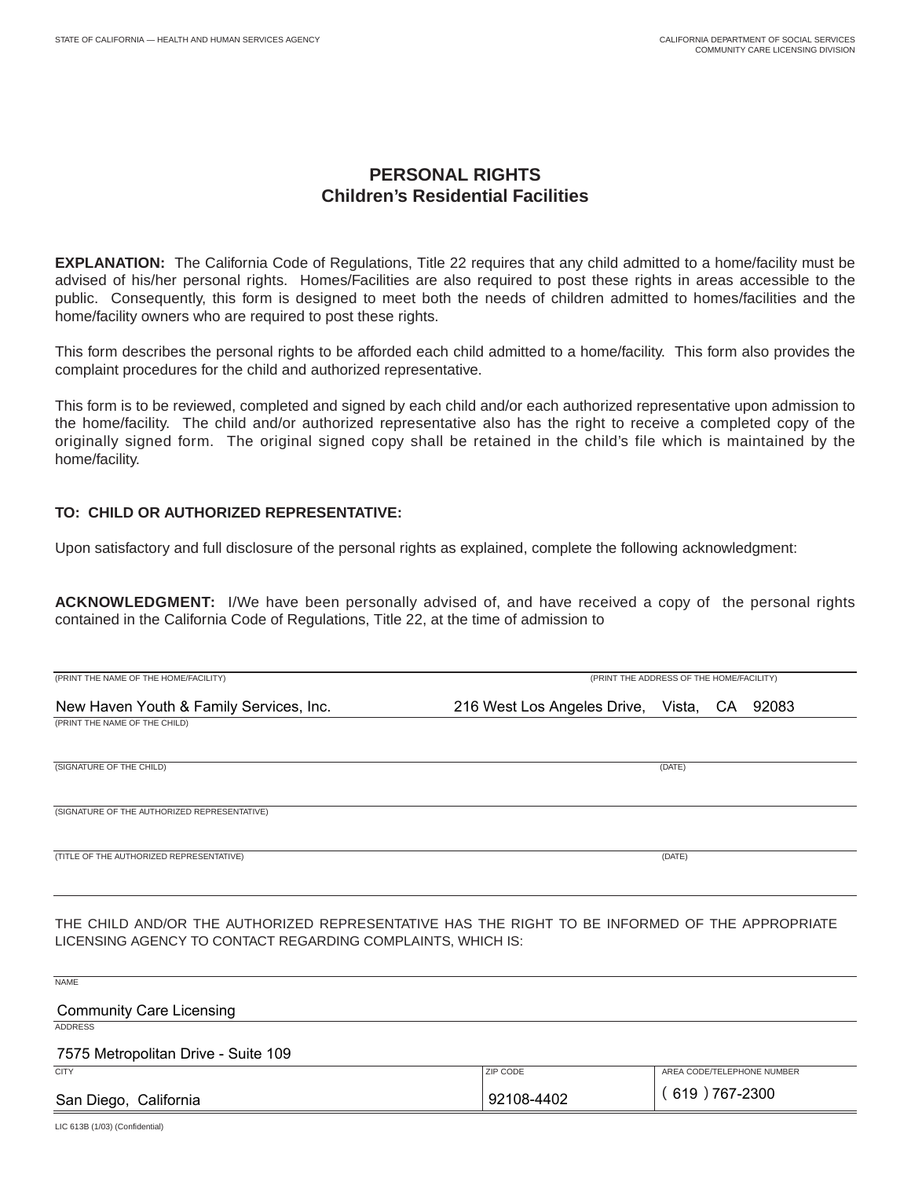## **PERSONAL RIGHTS Children's Residential Facilities**

**EXPLANATION:** The California Code of Regulations, Title 22 requires that any child admitted to a home/facility must be advised of his/her personal rights. Homes/Facilities are also required to post these rights in areas accessible to the public. Consequently, this form is designed to meet both the needs of children admitted to homes/facilities and the home/facility owners who are required to post these rights.

This form describes the personal rights to be afforded each child admitted to a home/facility. This form also provides the complaint procedures for the child and authorized representative.

This form is to be reviewed, completed and signed by each child and/or each authorized representative upon admission to the home/facility. The child and/or authorized representative also has the right to receive a completed copy of the originally signed form. The original signed copy shall be retained in the child's file which is maintained by the home/facility.

## **TO: CHILD OR AUTHORIZED REPRESENTATIVE:**

Upon satisfactory and full disclosure of the personal rights as explained, complete the following acknowledgment:

**ACKNOWLEDGMENT:** I/We have been personally advised of, and have received a copy of the personal rights contained in the California Code of Regulations, Title 22, at the time of admission to

| (PRINT THE NAME OF THE HOME/FACILITY)                                                                                                                         |                                             | (PRINT THE ADDRESS OF THE HOME/FACILITY) |  |
|---------------------------------------------------------------------------------------------------------------------------------------------------------------|---------------------------------------------|------------------------------------------|--|
| New Haven Youth & Family Services, Inc.                                                                                                                       | 216 West Los Angeles Drive, Vista, CA 92083 |                                          |  |
| (PRINT THE NAME OF THE CHILD)                                                                                                                                 |                                             |                                          |  |
| (SIGNATURE OF THE CHILD)                                                                                                                                      |                                             | (DATE)                                   |  |
| (SIGNATURE OF THE AUTHORIZED REPRESENTATIVE)                                                                                                                  |                                             |                                          |  |
| (TITLE OF THE AUTHORIZED REPRESENTATIVE)                                                                                                                      |                                             | (DATE)                                   |  |
| THE CHILD AND/OR THE AUTHORIZED REPRESENTATIVE HAS THE RIGHT TO BE INFORMED OF THE APPROPRIATE<br>LICENSING AGENCY TO CONTACT REGARDING COMPLAINTS, WHICH IS: |                                             |                                          |  |
| <b>NAME</b>                                                                                                                                                   |                                             |                                          |  |
| <b>Community Care Licensing</b><br><b>ADDRESS</b>                                                                                                             |                                             |                                          |  |
| 7575 Metropolitan Drive - Suite 109                                                                                                                           |                                             |                                          |  |
| <b>CITY</b>                                                                                                                                                   | ZIP CODE                                    | AREA CODE/TELEPHONE NUMBER               |  |

 $(619)767-2300$ San Diego, California 92108-4402